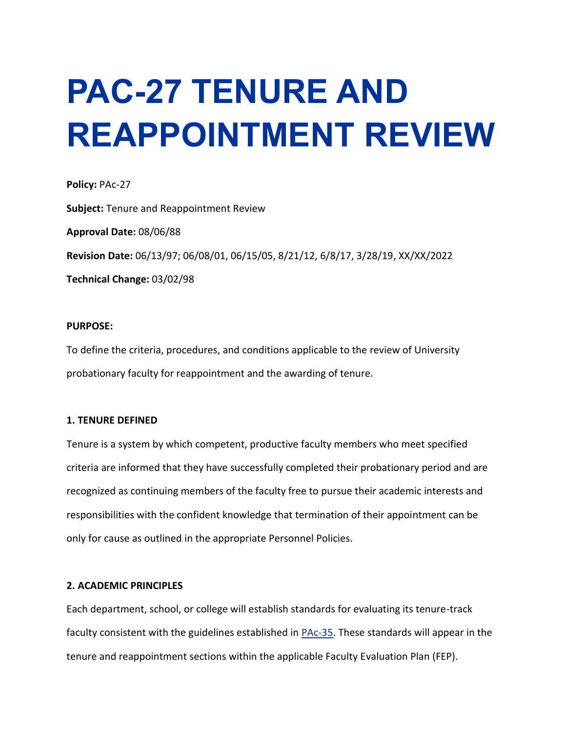# **PAC-27 TENURE AND REAPPOINTMENT REVIEW**

**Policy:** PAc-27 **Subject:** Tenure and Reappointment Review **Approval Date:** 08/06/88 **Revision Date:** 06/13/97; 06/08/01, 06/15/05, 8/21/12, 6/8/17, 3/28/19, XX/XX/2022 **Technical Change:** 03/02/98

# **PURPOSE:**

To define the criteria, procedures, and conditions applicable to the review of University probationary faculty for reappointment and the awarding of tenure.

#### **1. TENURE DEFINED**

Tenure is a system by which competent, productive faculty members who meet specified criteria are informed that they have successfully completed their probationary period and are recognized as continuing members of the faculty free to pursue their academic interests and responsibilities with the confident knowledge that termination of their appointment can be only for cause as outlined in the appropriate Personnel Policies.

# **2. ACADEMIC PRINCIPLES**

Each department, school, or college will establish standards for evaluating its tenure-track faculty consistent with the guidelines established in [PAc-35.](https://www.moreheadstate.edu/Administration/Human-Resources/Personnel-Policies/MSU-Personnel-Policies/PAc-35-Faculty-Evaluation-Plans) These standards will appear in the tenure and reappointment sections within the applicable Faculty Evaluation Plan (FEP).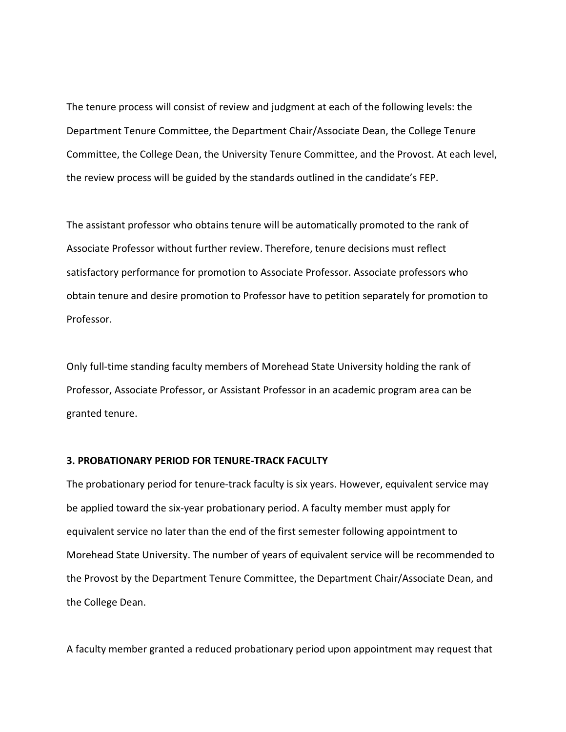The tenure process will consist of review and judgment at each of the following levels: the Department Tenure Committee, the Department Chair/Associate Dean, the College Tenure Committee, the College Dean, the University Tenure Committee, and the Provost. At each level, the review process will be guided by the standards outlined in the candidate's FEP.

The assistant professor who obtains tenure will be automatically promoted to the rank of Associate Professor without further review. Therefore, tenure decisions must reflect satisfactory performance for promotion to Associate Professor. Associate professors who obtain tenure and desire promotion to Professor have to petition separately for promotion to Professor.

Only full-time standing faculty members of Morehead State University holding the rank of Professor, Associate Professor, or Assistant Professor in an academic program area can be granted tenure.

#### **3. PROBATIONARY PERIOD FOR TENURE-TRACK FACULTY**

The probationary period for tenure-track faculty is six years. However, equivalent service may be applied toward the six-year probationary period. A faculty member must apply for equivalent service no later than the end of the first semester following appointment to Morehead State University. The number of years of equivalent service will be recommended to the Provost by the Department Tenure Committee, the Department Chair/Associate Dean, and the College Dean.

A faculty member granted a reduced probationary period upon appointment may request that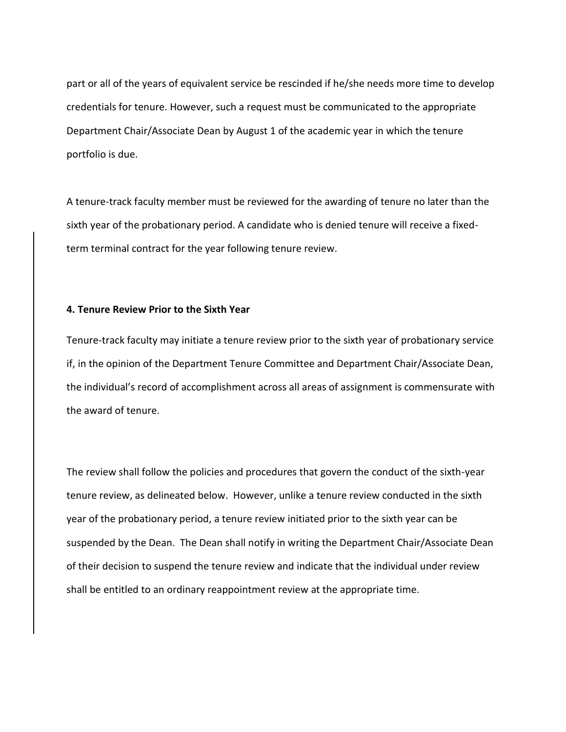part or all of the years of equivalent service be rescinded if he/she needs more time to develop credentials for tenure. However, such a request must be communicated to the appropriate Department Chair/Associate Dean by August 1 of the academic year in which the tenure portfolio is due.

A tenure-track faculty member must be reviewed for the awarding of tenure no later than the sixth year of the probationary period. A candidate who is denied tenure will receive a fixedterm terminal contract for the year following tenure review.

## **4. Tenure Review Prior to the Sixth Year**

Tenure-track faculty may initiate a tenure review prior to the sixth year of probationary service if, in the opinion of the Department Tenure Committee and Department Chair/Associate Dean, the individual's record of accomplishment across all areas of assignment is commensurate with the award of tenure.

The review shall follow the policies and procedures that govern the conduct of the sixth-year tenure review, as delineated below. However, unlike a tenure review conducted in the sixth year of the probationary period, a tenure review initiated prior to the sixth year can be suspended by the Dean. The Dean shall notify in writing the Department Chair/Associate Dean of their decision to suspend the tenure review and indicate that the individual under review shall be entitled to an ordinary reappointment review at the appropriate time.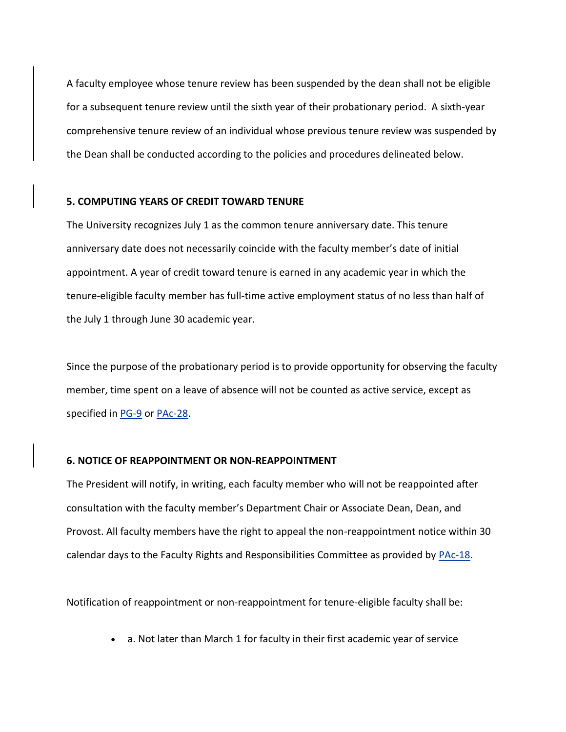A faculty employee whose tenure review has been suspended by the dean shall not be eligible for a subsequent tenure review until the sixth year of their probationary period. A sixth-year comprehensive tenure review of an individual whose previous tenure review was suspended by the Dean shall be conducted according to the policies and procedures delineated below.

### **5. COMPUTING YEARS OF CREDIT TOWARD TENURE**

The University recognizes July 1 as the common tenure anniversary date. This tenure anniversary date does not necessarily coincide with the faculty member's date of initial appointment. A year of credit toward tenure is earned in any academic year in which the tenure-eligible faculty member has full-time active employment status of no less than half of the July 1 through June 30 academic year.

Since the purpose of the probationary period is to provide opportunity for observing the faculty member, time spent on a leave of absence will not be counted as active service, except as specified in [PG-9](https://www.moreheadstate.edu/Administration/Human-Resources/Personnel-Policies/MSU-Personnel-Policies/PG-9-Personal-Leave-of-Absence-Without-Pay-(Other) or [PAc-28.](https://www.moreheadstate.edu/Administration/Human-Resources/Personnel-Policies/MSU-Personnel-Policies/PAc-28-Educational-Leave-of-Absence)

#### **6. NOTICE OF REAPPOINTMENT OR NON-REAPPOINTMENT**

The President will notify, in writing, each faculty member who will not be reappointed after consultation with the faculty member's Department Chair or Associate Dean, Dean, and Provost. All faculty members have the right to appeal the non-reappointment notice within 30 calendar days to the Faculty Rights and Responsibilities Committee as provided by [PAc-18.](https://www.moreheadstate.edu/Administration/Human-Resources/Personnel-Policies/MSU-Personnel-Policies/PAc-18-Faculty-Rights-Responsibilities)

Notification of reappointment or non-reappointment for tenure-eligible faculty shall be:

• a. Not later than March 1 for faculty in their first academic year of service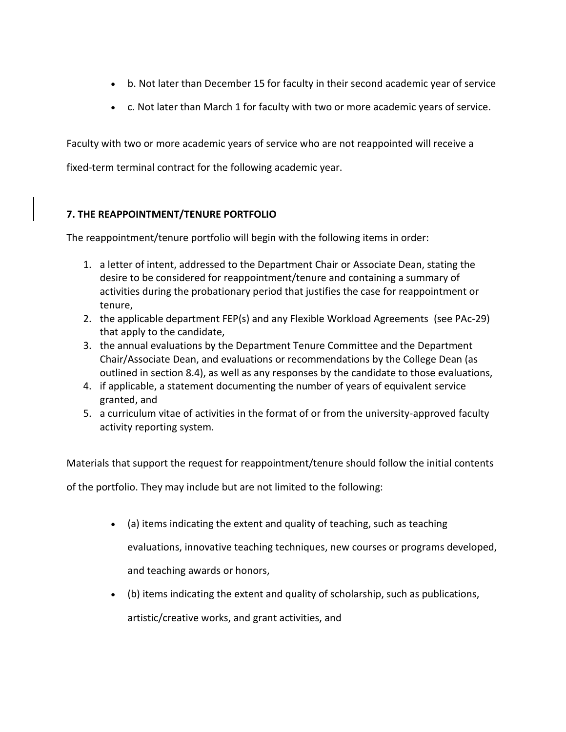- b. Not later than December 15 for faculty in their second academic year of service
- c. Not later than March 1 for faculty with two or more academic years of service.

Faculty with two or more academic years of service who are not reappointed will receive a

fixed-term terminal contract for the following academic year.

# **7. THE REAPPOINTMENT/TENURE PORTFOLIO**

The reappointment/tenure portfolio will begin with the following items in order:

- 1. a letter of intent, addressed to the Department Chair or Associate Dean, stating the desire to be considered for reappointment/tenure and containing a summary of activities during the probationary period that justifies the case for reappointment or tenure,
- 2. the applicable department FEP(s) and any Flexible Workload Agreements (see PAc-29) that apply to the candidate,
- 3. the annual evaluations by the Department Tenure Committee and the Department Chair/Associate Dean, and evaluations or recommendations by the College Dean (as outlined in section 8.4), as well as any responses by the candidate to those evaluations,
- 4. if applicable, a statement documenting the number of years of equivalent service granted, and
- 5. a curriculum vitae of activities in the format of or from the university-approved faculty activity reporting system.

Materials that support the request for reappointment/tenure should follow the initial contents of the portfolio. They may include but are not limited to the following:

• (a) items indicating the extent and quality of teaching, such as teaching

evaluations, innovative teaching techniques, new courses or programs developed, and teaching awards or honors,

• (b) items indicating the extent and quality of scholarship, such as publications,

artistic/creative works, and grant activities, and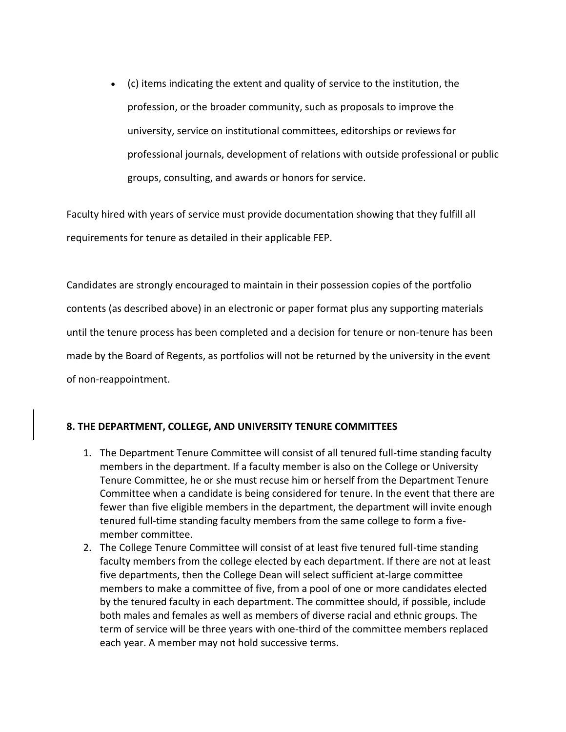• (c) items indicating the extent and quality of service to the institution, the profession, or the broader community, such as proposals to improve the university, service on institutional committees, editorships or reviews for professional journals, development of relations with outside professional or public groups, consulting, and awards or honors for service.

Faculty hired with years of service must provide documentation showing that they fulfill all requirements for tenure as detailed in their applicable FEP.

Candidates are strongly encouraged to maintain in their possession copies of the portfolio contents (as described above) in an electronic or paper format plus any supporting materials until the tenure process has been completed and a decision for tenure or non-tenure has been made by the Board of Regents, as portfolios will not be returned by the university in the event of non-reappointment.

# **8. THE DEPARTMENT, COLLEGE, AND UNIVERSITY TENURE COMMITTEES**

- 1. The Department Tenure Committee will consist of all tenured full-time standing faculty members in the department. If a faculty member is also on the College or University Tenure Committee, he or she must recuse him or herself from the Department Tenure Committee when a candidate is being considered for tenure. In the event that there are fewer than five eligible members in the department, the department will invite enough tenured full-time standing faculty members from the same college to form a fivemember committee.
- 2. The College Tenure Committee will consist of at least five tenured full-time standing faculty members from the college elected by each department. If there are not at least five departments, then the College Dean will select sufficient at-large committee members to make a committee of five, from a pool of one or more candidates elected by the tenured faculty in each department. The committee should, if possible, include both males and females as well as members of diverse racial and ethnic groups. The term of service will be three years with one-third of the committee members replaced each year. A member may not hold successive terms.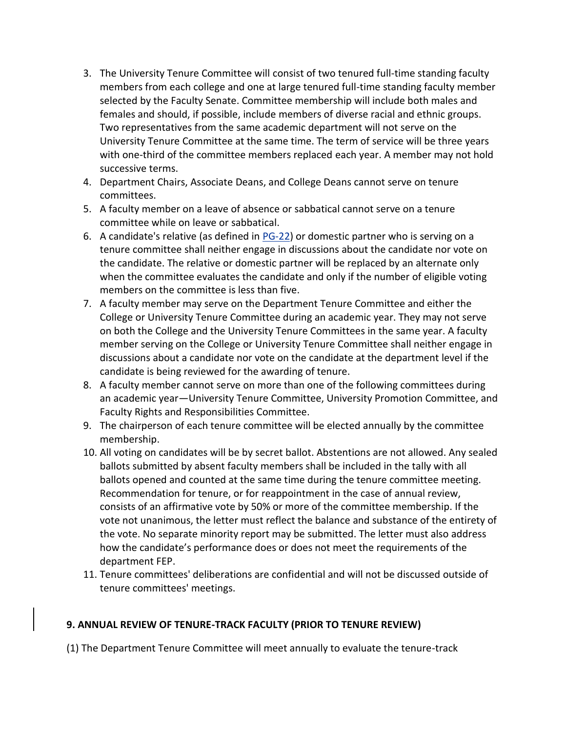- 3. The University Tenure Committee will consist of two tenured full-time standing faculty members from each college and one at large tenured full-time standing faculty member selected by the Faculty Senate. Committee membership will include both males and females and should, if possible, include members of diverse racial and ethnic groups. Two representatives from the same academic department will not serve on the University Tenure Committee at the same time. The term of service will be three years with one-third of the committee members replaced each year. A member may not hold successive terms.
- 4. Department Chairs, Associate Deans, and College Deans cannot serve on tenure committees.
- 5. A faculty member on a leave of absence or sabbatical cannot serve on a tenure committee while on leave or sabbatical.
- 6. A candidate's relative (as defined in [PG-22\)](https://www.moreheadstate.edu/Administration/Human-Resources/Personnel-Policies/MSU-Personnel-Policies/PG-22-Employment-of-Relatives) or domestic partner who is serving on a tenure committee shall neither engage in discussions about the candidate nor vote on the candidate. The relative or domestic partner will be replaced by an alternate only when the committee evaluates the candidate and only if the number of eligible voting members on the committee is less than five.
- 7. A faculty member may serve on the Department Tenure Committee and either the College or University Tenure Committee during an academic year. They may not serve on both the College and the University Tenure Committees in the same year. A faculty member serving on the College or University Tenure Committee shall neither engage in discussions about a candidate nor vote on the candidate at the department level if the candidate is being reviewed for the awarding of tenure.
- 8. A faculty member cannot serve on more than one of the following committees during an academic year—University Tenure Committee, University Promotion Committee, and Faculty Rights and Responsibilities Committee.
- 9. The chairperson of each tenure committee will be elected annually by the committee membership.
- 10. All voting on candidates will be by secret ballot. Abstentions are not allowed. Any sealed ballots submitted by absent faculty members shall be included in the tally with all ballots opened and counted at the same time during the tenure committee meeting. Recommendation for tenure, or for reappointment in the case of annual review, consists of an affirmative vote by 50% or more of the committee membership. If the vote not unanimous, the letter must reflect the balance and substance of the entirety of the vote. No separate minority report may be submitted. The letter must also address how the candidate's performance does or does not meet the requirements of the department FEP.
- 11. Tenure committees' deliberations are confidential and will not be discussed outside of tenure committees' meetings.

# **9. ANNUAL REVIEW OF TENURE-TRACK FACULTY (PRIOR TO TENURE REVIEW)**

(1) The Department Tenure Committee will meet annually to evaluate the tenure-track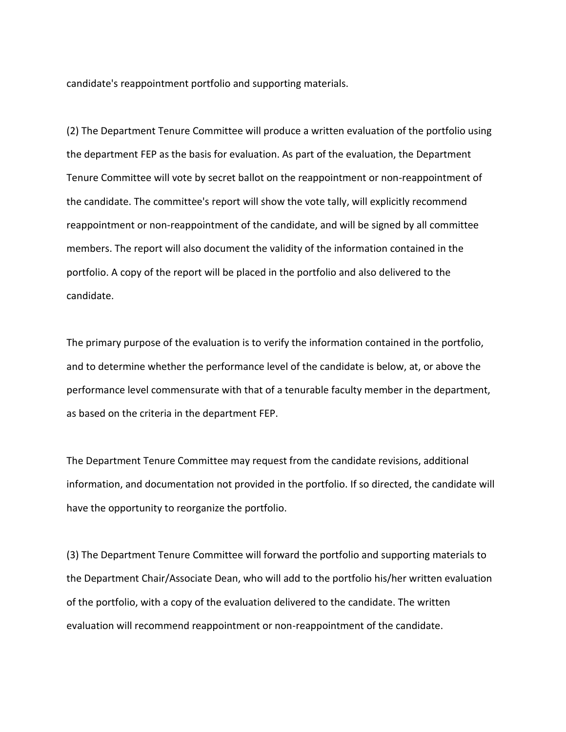candidate's reappointment portfolio and supporting materials.

(2) The Department Tenure Committee will produce a written evaluation of the portfolio using the department FEP as the basis for evaluation. As part of the evaluation, the Department Tenure Committee will vote by secret ballot on the reappointment or non-reappointment of the candidate. The committee's report will show the vote tally, will explicitly recommend reappointment or non-reappointment of the candidate, and will be signed by all committee members. The report will also document the validity of the information contained in the portfolio. A copy of the report will be placed in the portfolio and also delivered to the candidate.

The primary purpose of the evaluation is to verify the information contained in the portfolio, and to determine whether the performance level of the candidate is below, at, or above the performance level commensurate with that of a tenurable faculty member in the department, as based on the criteria in the department FEP.

The Department Tenure Committee may request from the candidate revisions, additional information, and documentation not provided in the portfolio. If so directed, the candidate will have the opportunity to reorganize the portfolio.

(3) The Department Tenure Committee will forward the portfolio and supporting materials to the Department Chair/Associate Dean, who will add to the portfolio his/her written evaluation of the portfolio, with a copy of the evaluation delivered to the candidate. The written evaluation will recommend reappointment or non-reappointment of the candidate.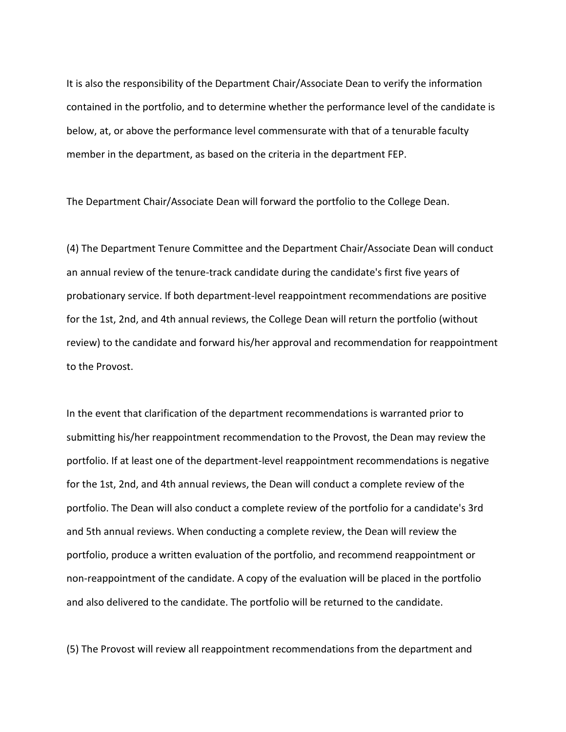It is also the responsibility of the Department Chair/Associate Dean to verify the information contained in the portfolio, and to determine whether the performance level of the candidate is below, at, or above the performance level commensurate with that of a tenurable faculty member in the department, as based on the criteria in the department FEP.

The Department Chair/Associate Dean will forward the portfolio to the College Dean.

(4) The Department Tenure Committee and the Department Chair/Associate Dean will conduct an annual review of the tenure-track candidate during the candidate's first five years of probationary service. If both department-level reappointment recommendations are positive for the 1st, 2nd, and 4th annual reviews, the College Dean will return the portfolio (without review) to the candidate and forward his/her approval and recommendation for reappointment to the Provost.

In the event that clarification of the department recommendations is warranted prior to submitting his/her reappointment recommendation to the Provost, the Dean may review the portfolio. If at least one of the department-level reappointment recommendations is negative for the 1st, 2nd, and 4th annual reviews, the Dean will conduct a complete review of the portfolio. The Dean will also conduct a complete review of the portfolio for a candidate's 3rd and 5th annual reviews. When conducting a complete review, the Dean will review the portfolio, produce a written evaluation of the portfolio, and recommend reappointment or non-reappointment of the candidate. A copy of the evaluation will be placed in the portfolio and also delivered to the candidate. The portfolio will be returned to the candidate.

(5) The Provost will review all reappointment recommendations from the department and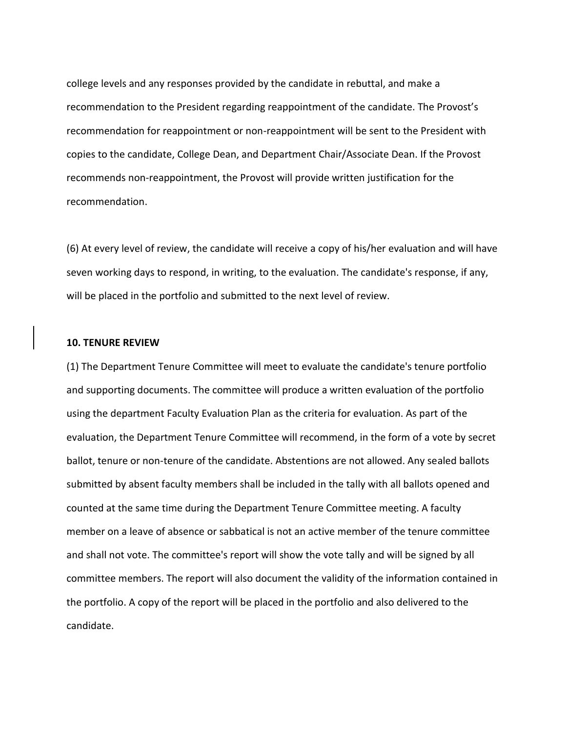college levels and any responses provided by the candidate in rebuttal, and make a recommendation to the President regarding reappointment of the candidate. The Provost's recommendation for reappointment or non-reappointment will be sent to the President with copies to the candidate, College Dean, and Department Chair/Associate Dean. If the Provost recommends non-reappointment, the Provost will provide written justification for the recommendation.

(6) At every level of review, the candidate will receive a copy of his/her evaluation and will have seven working days to respond, in writing, to the evaluation. The candidate's response, if any, will be placed in the portfolio and submitted to the next level of review.

## **10. TENURE REVIEW**

(1) The Department Tenure Committee will meet to evaluate the candidate's tenure portfolio and supporting documents. The committee will produce a written evaluation of the portfolio using the department Faculty Evaluation Plan as the criteria for evaluation. As part of the evaluation, the Department Tenure Committee will recommend, in the form of a vote by secret ballot, tenure or non-tenure of the candidate. Abstentions are not allowed. Any sealed ballots submitted by absent faculty members shall be included in the tally with all ballots opened and counted at the same time during the Department Tenure Committee meeting. A faculty member on a leave of absence or sabbatical is not an active member of the tenure committee and shall not vote. The committee's report will show the vote tally and will be signed by all committee members. The report will also document the validity of the information contained in the portfolio. A copy of the report will be placed in the portfolio and also delivered to the candidate.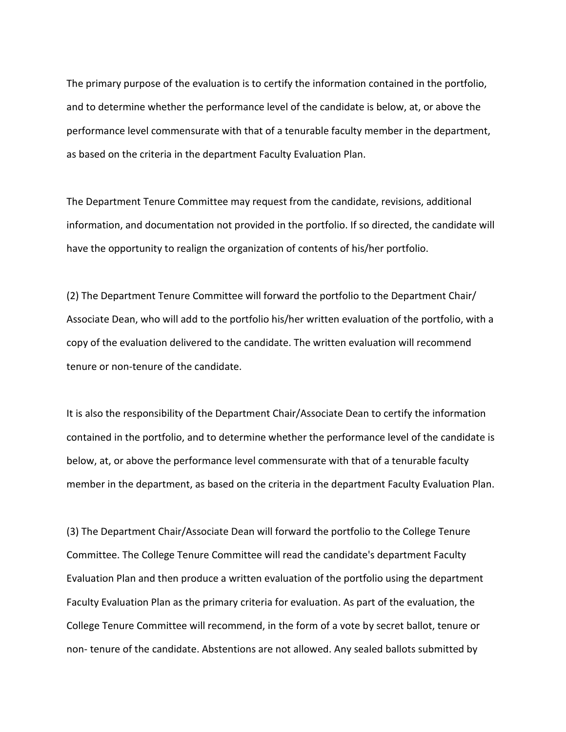The primary purpose of the evaluation is to certify the information contained in the portfolio, and to determine whether the performance level of the candidate is below, at, or above the performance level commensurate with that of a tenurable faculty member in the department, as based on the criteria in the department Faculty Evaluation Plan.

The Department Tenure Committee may request from the candidate, revisions, additional information, and documentation not provided in the portfolio. If so directed, the candidate will have the opportunity to realign the organization of contents of his/her portfolio.

(2) The Department Tenure Committee will forward the portfolio to the Department Chair/ Associate Dean, who will add to the portfolio his/her written evaluation of the portfolio, with a copy of the evaluation delivered to the candidate. The written evaluation will recommend tenure or non-tenure of the candidate.

It is also the responsibility of the Department Chair/Associate Dean to certify the information contained in the portfolio, and to determine whether the performance level of the candidate is below, at, or above the performance level commensurate with that of a tenurable faculty member in the department, as based on the criteria in the department Faculty Evaluation Plan.

(3) The Department Chair/Associate Dean will forward the portfolio to the College Tenure Committee. The College Tenure Committee will read the candidate's department Faculty Evaluation Plan and then produce a written evaluation of the portfolio using the department Faculty Evaluation Plan as the primary criteria for evaluation. As part of the evaluation, the College Tenure Committee will recommend, in the form of a vote by secret ballot, tenure or non- tenure of the candidate. Abstentions are not allowed. Any sealed ballots submitted by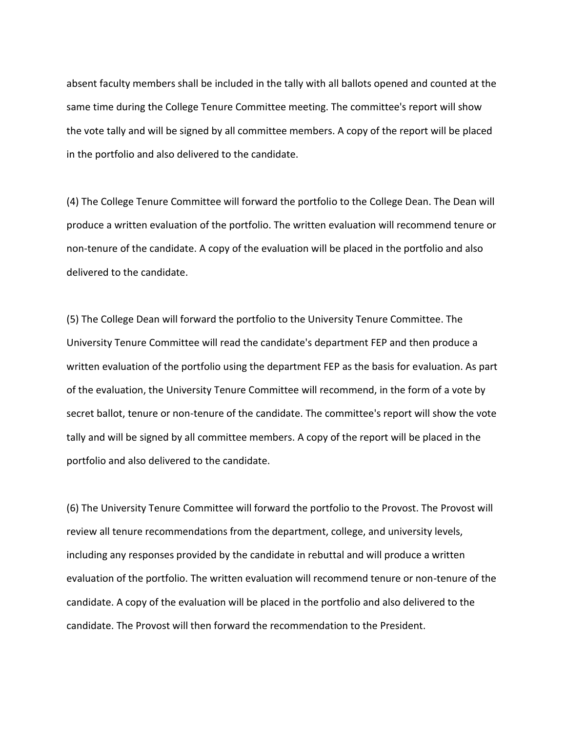absent faculty members shall be included in the tally with all ballots opened and counted at the same time during the College Tenure Committee meeting. The committee's report will show the vote tally and will be signed by all committee members. A copy of the report will be placed in the portfolio and also delivered to the candidate.

(4) The College Tenure Committee will forward the portfolio to the College Dean. The Dean will produce a written evaluation of the portfolio. The written evaluation will recommend tenure or non-tenure of the candidate. A copy of the evaluation will be placed in the portfolio and also delivered to the candidate.

(5) The College Dean will forward the portfolio to the University Tenure Committee. The University Tenure Committee will read the candidate's department FEP and then produce a written evaluation of the portfolio using the department FEP as the basis for evaluation. As part of the evaluation, the University Tenure Committee will recommend, in the form of a vote by secret ballot, tenure or non-tenure of the candidate. The committee's report will show the vote tally and will be signed by all committee members. A copy of the report will be placed in the portfolio and also delivered to the candidate.

(6) The University Tenure Committee will forward the portfolio to the Provost. The Provost will review all tenure recommendations from the department, college, and university levels, including any responses provided by the candidate in rebuttal and will produce a written evaluation of the portfolio. The written evaluation will recommend tenure or non-tenure of the candidate. A copy of the evaluation will be placed in the portfolio and also delivered to the candidate. The Provost will then forward the recommendation to the President.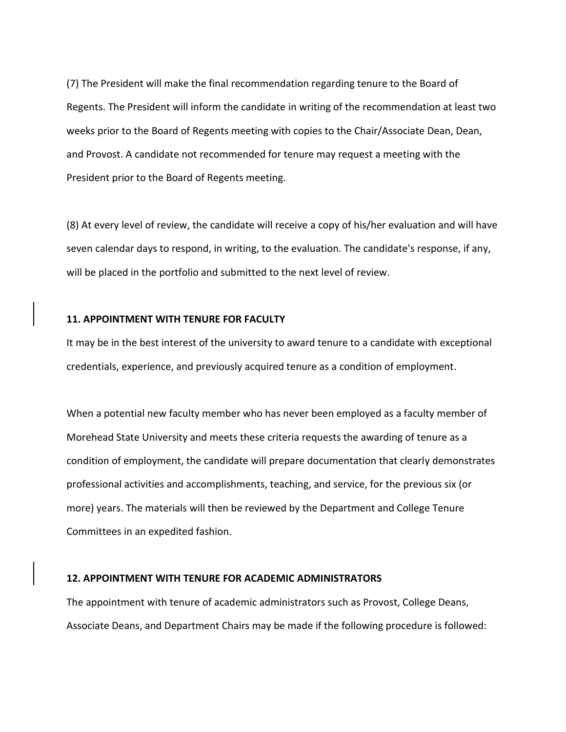(7) The President will make the final recommendation regarding tenure to the Board of Regents. The President will inform the candidate in writing of the recommendation at least two weeks prior to the Board of Regents meeting with copies to the Chair/Associate Dean, Dean, and Provost. A candidate not recommended for tenure may request a meeting with the President prior to the Board of Regents meeting.

(8) At every level of review, the candidate will receive a copy of his/her evaluation and will have seven calendar days to respond, in writing, to the evaluation. The candidate's response, if any, will be placed in the portfolio and submitted to the next level of review.

# **11. APPOINTMENT WITH TENURE FOR FACULTY**

It may be in the best interest of the university to award tenure to a candidate with exceptional credentials, experience, and previously acquired tenure as a condition of employment.

When a potential new faculty member who has never been employed as a faculty member of Morehead State University and meets these criteria requests the awarding of tenure as a condition of employment, the candidate will prepare documentation that clearly demonstrates professional activities and accomplishments, teaching, and service, for the previous six (or more) years. The materials will then be reviewed by the Department and College Tenure Committees in an expedited fashion.

# **12. APPOINTMENT WITH TENURE FOR ACADEMIC ADMINISTRATORS**

The appointment with tenure of academic administrators such as Provost, College Deans, Associate Deans, and Department Chairs may be made if the following procedure is followed: